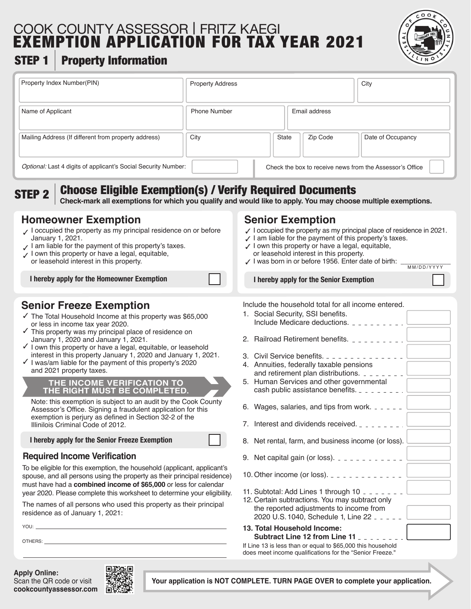# COOK COUNTY ASSESSOR | FRITZ KAEGI EXEMPTION APPLICATION FOR TAX YEAR 2021



MM/DD/YYYY

## STEP 1 | Property Information

| Property Index Number(PIN)                                     | <b>Property Address</b> |                                                          | City              |
|----------------------------------------------------------------|-------------------------|----------------------------------------------------------|-------------------|
| Name of Applicant                                              | <b>Phone Number</b>     | Email address                                            |                   |
| Mailing Address (If different from property address)           | City                    | <b>State</b><br>Zip Code                                 | Date of Occupancy |
| Optional: Last 4 digits of applicant's Social Security Number: |                         | Check the box to receive news from the Assessor's Office |                   |

STEP 2

## Choose Eligible Exemption(s) / Verify Required Documents

**Check-mark all exemptions for which you qualify and would like to apply. You may choose multiple exemptions.**

#### **Homeowner Exemption**

- $\checkmark$  I occupied the property as my principal residence on or before January 1, 2021.
- I am liable for the payment of this property's taxes. ✓
- I own this property or have a legal, equitable, or leasehold interest in this property. ✓

**I hereby apply for the Homeowner Exemption**

### **Senior Freeze Exemption**

- ✓ The Total Household Income at this property was \$65,000 or less in income tax year 2020.
- ✓ This property was my principal place of residence on January 1, 2020 and January 1, 2021.
- ✓ I own this property or have a legal, equitable, or leasehold interest in this property January 1, 2020 and January 1, 2021.
- ✓ I was/am liable for the payment of this property's 2020 and 2021 property taxes.

#### **THE INCOME VERIFICATION TO THE RIGHT MUST BE COMPLETED.**

Note: this exemption is subject to an audit by the Cook County Assessor's Office. Signing a fraudulent application for this exemption is perjury as defined in Section 32-2 of the Illinilois Criminal Code of 2012.

**I hereby apply for the Senior Freeze Exemption**

#### **Required Income Verification**

To be eligible for this exemption, the household (applicant, applicant's spouse, and all persons using the property as their principal residence) must have had a **combined income of \$65,000** or less for calendar year 2020. Please complete this worksheet to determine your eligibility.

The names of all persons who used this property as their principal residence as of January 1, 2021:

YOU:

OTHERS:

**Apply Online:** Scan the QR code or visit **cookcountyassessor.com**



### **Senior Exemption**

- $\checkmark$  I occupied the property as my principal place of residence in 2021.
- $\checkmark$  I am liable for the payment of this property's taxes.
- ✓ I own this property or have a legal, equitable, or leasehold interest in this property.
- 
- I was born in or before 1956. Enter date of birth: \_\_\_\_\_\_\_\_\_\_\_\_\_ ✓

**I hereby apply for the Senior Exemption**

1. Social Security, SSI benefits.

Include the household total for all income entered.

| 2. Railroad Retirement benefits. _ _ _ _ _ _ _ _ _                                                                                                                                                                           |
|------------------------------------------------------------------------------------------------------------------------------------------------------------------------------------------------------------------------------|
| 3. Civil Service benefits.<br>4. Annuities, federally taxable pensions<br>and retirement plan distributions. $2 - 2 - 2 = 1$<br>5. Human Services and other governmental<br>cash public assistance benefits. _ _ _ _ _ _ _ _ |
| 6. Wages, salaries, and tips from work. $- - - -$                                                                                                                                                                            |
| 7. Interest and dividends received. $\frac{1}{2}$ $\frac{1}{2}$ $\frac{1}{2}$ $\frac{1}{2}$ $\frac{1}{2}$                                                                                                                    |
| 8. Net rental, farm, and business income (or loss).                                                                                                                                                                          |
| 9. Net capital gain (or loss). $- - - - - - - - - - -$                                                                                                                                                                       |
| 10. Other income (or loss). $- - - - - - - - - - - -$                                                                                                                                                                        |
| 11. Subtotal: Add Lines 1 through $10 - 2 - 1$<br>12. Certain subtractions. You may subtract only<br>the reported adjustments to income from<br>2020 U.S. 1040, Schedule 1, Line 22 - - - - -                                |
| 13. Total Household Income:<br><b>Subtract Line 12 from Line 11</b>                                                                                                                                                          |
| If Line 13 is less than or equal to \$65,000 this household                                                                                                                                                                  |

If Line 13 is less than or equal to \$65,000 this household does meet income qualifications for the "Senior Freeze."

**Your application is NOT COMPLETE. TURN PAGE OVER to complete your application.**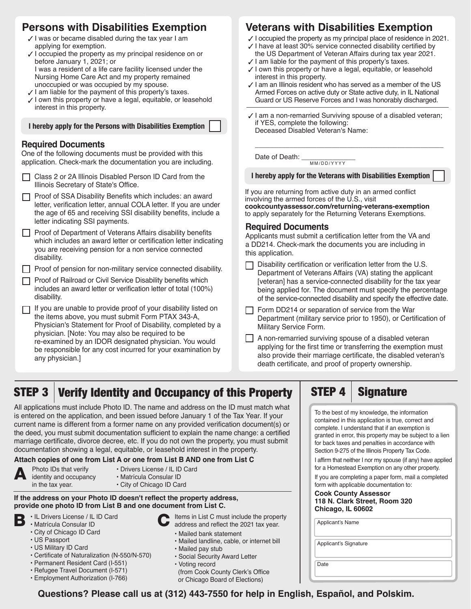### **Persons with Disabilities Exemption**

- $\boldsymbol{\mathcal{J}}$  I was or became disabled during the tax year I am applying for exemption.
- $\checkmark$  I occupied the property as my principal residence on or before January 1, 2021; or
- I was a resident of a life care facility licensed under the Nursing Home Care Act and my property remained unoccupied or was occupied by my spouse.
- ✓ I am liable for the payment of this property's taxes.
- ✓ I own this property or have a legal, equitable, or leasehold interest in this property.

| I hereby apply for the Persons with Disabilities Exemption |  |  |
|------------------------------------------------------------|--|--|
|------------------------------------------------------------|--|--|

#### **Required Documents**

One of the following documents must be provided with this application. Check-mark the documentation you are including.

- □ Class 2 or 2A Illinois Disabled Person ID Card from the Illinois Secretary of State's Office.
- $\Box$  Proof of SSA Disability Benefits which includes: an award letter, verification letter, annual COLA letter. If you are under the age of 65 and receiving SSI disability benefits, include a letter indicating SSI payments.

 $\Box$  Proof of Department of Veterans Affairs disability benefits which includes an award letter or certification letter indicating you are receiving pension for a non service connected disability.

- $\Box$  Proof of pension for non-military service connected disability.
- **Proof of Railroad or Civil Service Disability benefits which** includes an award letter or verification letter of total (100%) disability.
- $\Box$  If you are unable to provide proof of your disability listed on the items above, you must submit Form PTAX 343-A, Physician's Statement for Proof of Disability, completed by a physician. [Note: You may also be required to be re-examined by an IDOR designated physician. You would be responsible for any cost incurred for your examination by any physician.]

## **Veterans with Disabilities Exemption**

- ✓ I occupied the property as my principal place of residence in 2021.
- ✓ I have at least 30% service connected disability certified by
- the US Department of Veteran Affairs during tax year 2021.
- ✓ I am liable for the payment of this property's taxes. ✓ I own this property or have a legal, equitable, or leasehold
- interest in this property.
- ✓ I am an Illinois resident who has served as a member of the US Armed Forces on active duty or State active duty, in IL National Guard or US Reserve Forces and I was honorably discharged.

\_\_\_\_\_\_\_\_\_\_\_\_\_\_\_\_\_\_\_\_\_\_\_\_\_\_\_\_\_\_\_\_\_\_\_\_\_\_\_\_\_\_\_\_\_\_\_\_\_

Date of Death: \_\_\_\_\_\_\_\_\_\_\_\_\_\_ MM/DD/YYYY

**I hereby apply for the Veterans with Disabilities Exemption**

If you are returning from active duty in an armed conflict involving the armed forces of the U.S., visit **cookcountyassessor.com/returning-veterans-exemption** to apply separately for the Returning Veterans Exemptions.

#### **Required Documents**

Applicants must submit a certification letter from the VA and a DD214. Check-mark the documents you are including in this application.

- $\Box$  Disability certification or verification letter from the U.S. Department of Veterans Affairs (VA) stating the applicant [veteran] has a service-connected disability for the tax year being applied for. The document must specify the percentage of the service-connected disability and specify the effective date.
- $\Box$  Form DD214 or separation of service from the War Department (military service prior to 1950), or Certification of Military Service Form.
- $\Box$  A non-remarried surviving spouse of a disabled veteran applying for the first time or transferring the exemption must also provide their marriage certificate, the disabled veteran's death certificate, and proof of property ownership.

**STEP 3** 1

# Verify Identity and Occupancy of this Property  $\vert$  STEP 4  $\vert$  Signature

All applications must include Photo ID. The name and address on the ID must match what is entered on the application, and been issued before January 1 of the Tax Year. If your current name is different from a former name on any provided verification document(s) or the deed, you must submit documentation sufficient to explain the name change: a certified marriage certificate, divorce decree, etc. If you do not own the property, you must submit documentation showing a legal, equitable, or leasehold interest in the property.

#### **Attach copies of one from List A or one from List B AND one from List C**



Photo IDs that verify identity and occupancy in the tax year.

- Drivers License / IL ID Card • Matrícula Consular ID
- City of Chicago ID Card

#### **If the address on your Photo ID doesn't reflect the property address, provide one photo ID from List B and one document from List C.**

- 
- **B**  $\cdot$  IL Drivers License / IL ID Card<br> **B**  $\cdot$  Matrícula Consular ID • Matrícula Consular ID
	- City of Chicago ID Card
	- US Passport
	- US Military ID Card • Certificate of Naturalization (N-550/N-570)
	- Permanent Resident Card (I-551)
	- Refugee Travel Document (I-571)
	- Employment Authorization (I-766)
- Items in List C must include the property address and reflect the 2021 tax year.
- Mailed bank statement
	- Mailed landline, cable, or internet bill
	- Mailed pay stub
	- Social Security Award Letter
	- Voting record

 (from Cook County Clerk's Office or Chicago Board of Elections)

To the best of my knowledge, the information contained in this application is true, correct and complete. I understand that if an exemption is granted in error, this property may be subject to a lien for back taxes and penalties in accordance with Section 9-275 of the Illinois Property Tax Code.

I affirm that neither I nor my spouse (if any) have applied for a Homestead Exemption on any other property.

If you are completing a paper form, mail a completed form with applicable documentation to:

**Cook County Assessor 118 N. Clark Street, Room 320 Chicago, IL 60602**

| Applicant's Name |  |
|------------------|--|

Applicant's Signature

Date

**Questions? Please call us at (312) 443-7550 for help in English, Español, and Polskim.**

<sup>✓</sup> I am a non-remarried Surviving spouse of a disabled veteran; if YES, complete the following: Deceased Disabled Veteran's Name: